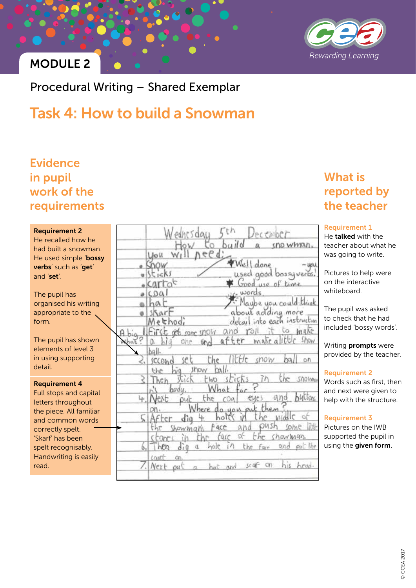

### MODULE 2

Procedural Writing – Shared Exemplar

## Task 4: How to build a Snowman

### **Evidence** in pupil work of the requirements

#### Requirement 2

He recalled how he had built a snowman. He used simple 'bossy verbs' such as 'get' and 'set'.

The pupil has organised his writing appropriate to the form.

The pupil has shown elements of level 3 in using supporting detail.

#### Requirement 4

Full stops and capital letters throughout the piece. All familiar and common words correctly spelt. 'Skarf' has been spelt recognisably. Handwriting is easily read.

| Wednesday 5th December<br>How to build a snowman.                  |
|--------------------------------------------------------------------|
|                                                                    |
|                                                                    |
| Well done -you<br>used good bossyverbs!<br>$-$ Snow<br>$u$ sticks  |
| Good use of time<br>· Carrot                                       |
| vice words.<br>$o$ $COa1$                                          |
| Maybe you could think<br>ahaf                                      |
| $0$ sharf                                                          |
| Method; about adding more<br>Method; detail into each instruction  |
|                                                                    |
| A big I First get some snow and roll it to make                    |
| $\setminus$ $b$ qll.                                               |
| 2. second set the little show ball on                              |
| the big show ball.                                                 |
| 3 Then stick two sticks in the snorm.<br>his body. What for?       |
| 4. Next put the coal eyes and buttons                              |
|                                                                    |
| on. Where do you put them?<br>5 After dig 4 holds in the middle of |
|                                                                    |
| stones in the face of the showman.                                 |
| 6. Then dig a hole in the face and put the                         |
| cont on                                                            |
| /. Next put a hat and scar on his head.                            |

## What is reported by the teacher

#### Requirement 1

He talked with the teacher about what he was going to write.

Pictures to help were on the interactive whiteboard.

The pupil was asked to check that he had included 'bossy words'.

Writing prompts were provided by the teacher.

#### Requirement 2

Words such as first, then and next were given to help with the structure.

#### Requirement 3

Pictures on the IWB supported the pupil in using the given form.